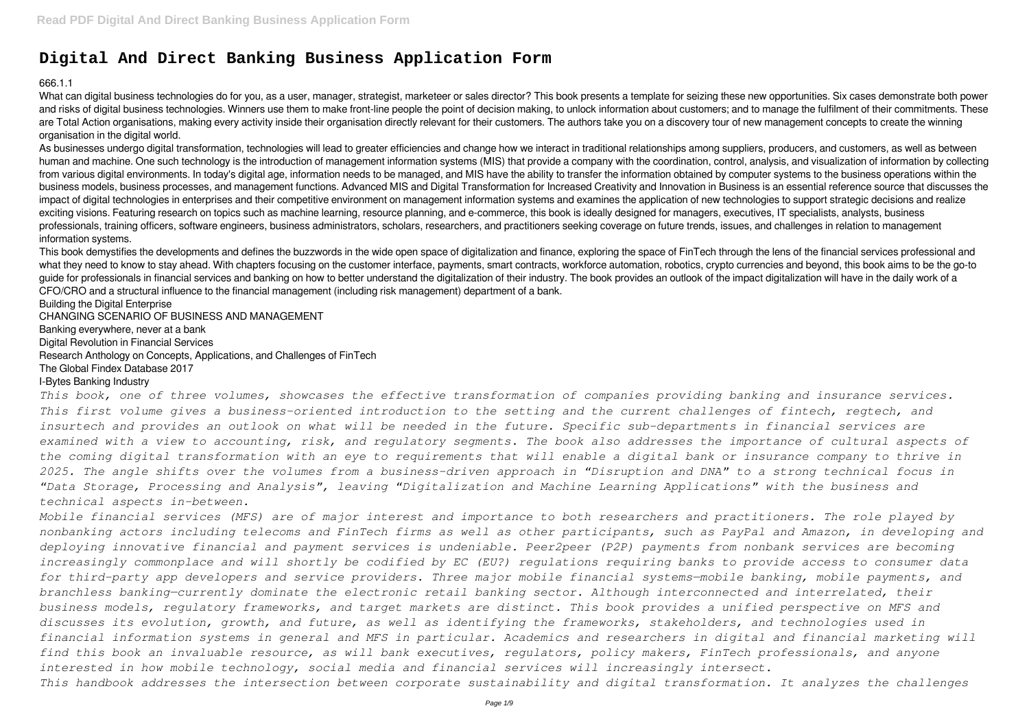# **Digital And Direct Banking Business Application Form**

666.1.1

What can digital business technologies do for you, as a user, manager, strategist, marketeer or sales director? This book presents a template for seizing these new opportunities. Six cases demonstrate both power and risks of digital business technologies. Winners use them to make front-line people the point of decision making, to unlock information about customers; and to manage the fulfilment of their commitments. These are Total Action organisations, making every activity inside their organisation directly relevant for their customers. The authors take you on a discovery tour of new management concepts to create the winning organisation in the digital world.

As businesses undergo digital transformation, technologies will lead to greater efficiencies and change how we interact in traditional relationships among suppliers, producers, and customers, as well as between human and machine. One such technology is the introduction of management information systems (MIS) that provide a company with the coordination, control, analysis, and visualization of information by collecting from various digital environments. In today's digital age, information needs to be managed, and MIS have the ability to transfer the information obtained by computer systems to the business operations within the business models, business processes, and management functions. Advanced MIS and Digital Transformation for Increased Creativity and Innovation in Business is an essential reference source that discusses the impact of digital technologies in enterprises and their competitive environment on management information systems and examines the application of new technologies to support strategic decisions and realize exciting visions. Featuring research on topics such as machine learning, resource planning, and e-commerce, this book is ideally designed for managers, executives, IT specialists, analysts, business professionals, training officers, software engineers, business administrators, scholars, researchers, and practitioners seeking coverage on future trends, issues, and challenges in relation to management information systems.

**Building the Digital Enterprise** CHANGING SCENARIO OF BUSINESS AND MANAGEMENT Banking everywhere, never at a bank Digital Revolution in Financial Services Research Anthology on Concepts, Applications, and Challenges of FinTech The Global Findex Database 2017 I-Bytes Banking Industry

This book demystifies the developments and defines the buzzwords in the wide open space of digitalization and finance, exploring the space of FinTech through the lens of the financial services professional and what they need to know to stay ahead. With chapters focusing on the customer interface, payments, smart contracts, workforce automation, robotics, crypto currencies and beyond, this book aims to be the go-to guide for professionals in financial services and banking on how to better understand the digitalization of their industry. The book provides an outlook of the impact digitalization will have in the daily work of a CFO/CRO and a structural influence to the financial management (including risk management) department of a bank.

*This book, one of three volumes, showcases the effective transformation of companies providing banking and insurance services. This first volume gives a business-oriented introduction to the setting and the current challenges of fintech, regtech, and insurtech and provides an outlook on what will be needed in the future. Specific sub-departments in financial services are examined with a view to accounting, risk, and regulatory segments. The book also addresses the importance of cultural aspects of the coming digital transformation with an eye to requirements that will enable a digital bank or insurance company to thrive in 2025. The angle shifts over the volumes from a business-driven approach in "Disruption and DNA" to a strong technical focus in "Data Storage, Processing and Analysis", leaving "Digitalization and Machine Learning Applications" with the business and technical aspects in-between.*

*Mobile financial services (MFS) are of major interest and importance to both researchers and practitioners. The role played by nonbanking actors including telecoms and FinTech firms as well as other participants, such as PayPal and Amazon, in developing and deploying innovative financial and payment services is undeniable. Peer2peer (P2P) payments from nonbank services are becoming increasingly commonplace and will shortly be codified by EC (EU?) regulations requiring banks to provide access to consumer data for third-party app developers and service providers. Three major mobile financial systems—mobile banking, mobile payments, and branchless banking—currently dominate the electronic retail banking sector. Although interconnected and interrelated, their business models, regulatory frameworks, and target markets are distinct. This book provides a unified perspective on MFS and discusses its evolution, growth, and future, as well as identifying the frameworks, stakeholders, and technologies used in financial information systems in general and MFS in particular. Academics and researchers in digital and financial marketing will find this book an invaluable resource, as will bank executives, regulators, policy makers, FinTech professionals, and anyone interested in how mobile technology, social media and financial services will increasingly intersect. This handbook addresses the intersection between corporate sustainability and digital transformation. It analyzes the challenges*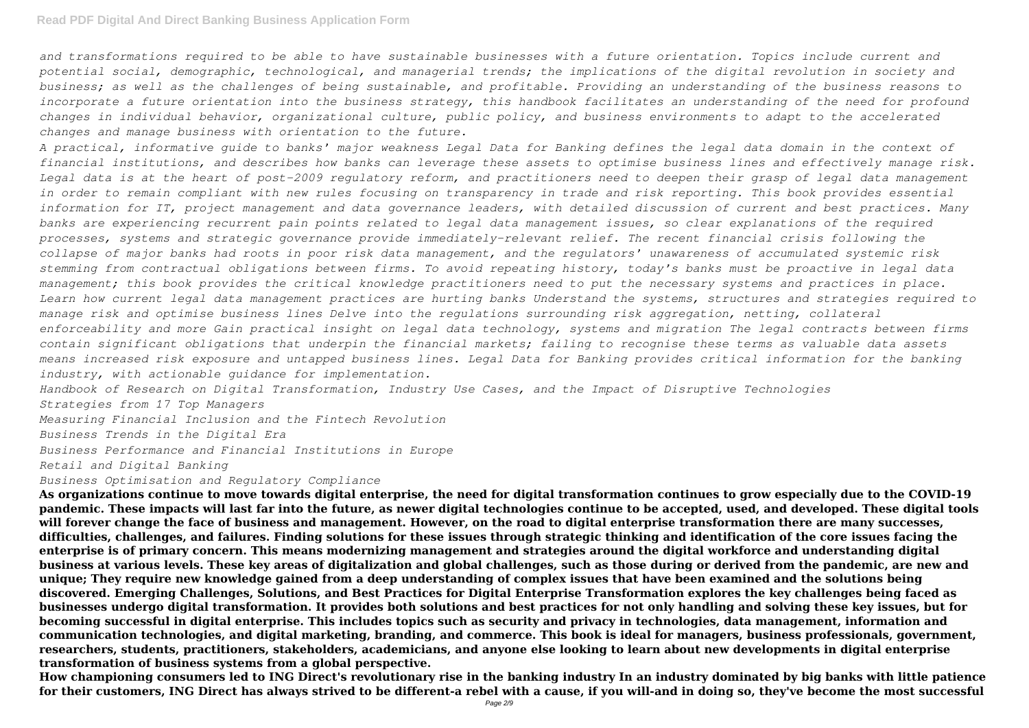*and transformations required to be able to have sustainable businesses with a future orientation. Topics include current and potential social, demographic, technological, and managerial trends; the implications of the digital revolution in society and business; as well as the challenges of being sustainable, and profitable. Providing an understanding of the business reasons to incorporate a future orientation into the business strategy, this handbook facilitates an understanding of the need for profound changes in individual behavior, organizational culture, public policy, and business environments to adapt to the accelerated changes and manage business with orientation to the future.*

*A practical, informative guide to banks' major weakness Legal Data for Banking defines the legal data domain in the context of financial institutions, and describes how banks can leverage these assets to optimise business lines and effectively manage risk. Legal data is at the heart of post-2009 regulatory reform, and practitioners need to deepen their grasp of legal data management in order to remain compliant with new rules focusing on transparency in trade and risk reporting. This book provides essential information for IT, project management and data governance leaders, with detailed discussion of current and best practices. Many banks are experiencing recurrent pain points related to legal data management issues, so clear explanations of the required processes, systems and strategic governance provide immediately-relevant relief. The recent financial crisis following the collapse of major banks had roots in poor risk data management, and the regulators' unawareness of accumulated systemic risk stemming from contractual obligations between firms. To avoid repeating history, today's banks must be proactive in legal data management; this book provides the critical knowledge practitioners need to put the necessary systems and practices in place. Learn how current legal data management practices are hurting banks Understand the systems, structures and strategies required to manage risk and optimise business lines Delve into the regulations surrounding risk aggregation, netting, collateral enforceability and more Gain practical insight on legal data technology, systems and migration The legal contracts between firms contain significant obligations that underpin the financial markets; failing to recognise these terms as valuable data assets means increased risk exposure and untapped business lines. Legal Data for Banking provides critical information for the banking industry, with actionable guidance for implementation.*

*Handbook of Research on Digital Transformation, Industry Use Cases, and the Impact of Disruptive Technologies Strategies from 17 Top Managers*

*Measuring Financial Inclusion and the Fintech Revolution*

*Business Trends in the Digital Era*

*Business Performance and Financial Institutions in Europe*

*Retail and Digital Banking*

*Business Optimisation and Regulatory Compliance*

**As organizations continue to move towards digital enterprise, the need for digital transformation continues to grow especially due to the COVID-19 pandemic. These impacts will last far into the future, as newer digital technologies continue to be accepted, used, and developed. These digital tools will forever change the face of business and management. However, on the road to digital enterprise transformation there are many successes, difficulties, challenges, and failures. Finding solutions for these issues through strategic thinking and identification of the core issues facing the enterprise is of primary concern. This means modernizing management and strategies around the digital workforce and understanding digital business at various levels. These key areas of digitalization and global challenges, such as those during or derived from the pandemic, are new and unique; They require new knowledge gained from a deep understanding of complex issues that have been examined and the solutions being discovered. Emerging Challenges, Solutions, and Best Practices for Digital Enterprise Transformation explores the key challenges being faced as businesses undergo digital transformation. It provides both solutions and best practices for not only handling and solving these key issues, but for becoming successful in digital enterprise. This includes topics such as security and privacy in technologies, data management, information and communication technologies, and digital marketing, branding, and commerce. This book is ideal for managers, business professionals, government, researchers, students, practitioners, stakeholders, academicians, and anyone else looking to learn about new developments in digital enterprise transformation of business systems from a global perspective.**

**How championing consumers led to ING Direct's revolutionary rise in the banking industry In an industry dominated by big banks with little patience for their customers, ING Direct has always strived to be different-a rebel with a cause, if you will-and in doing so, they've become the most successful**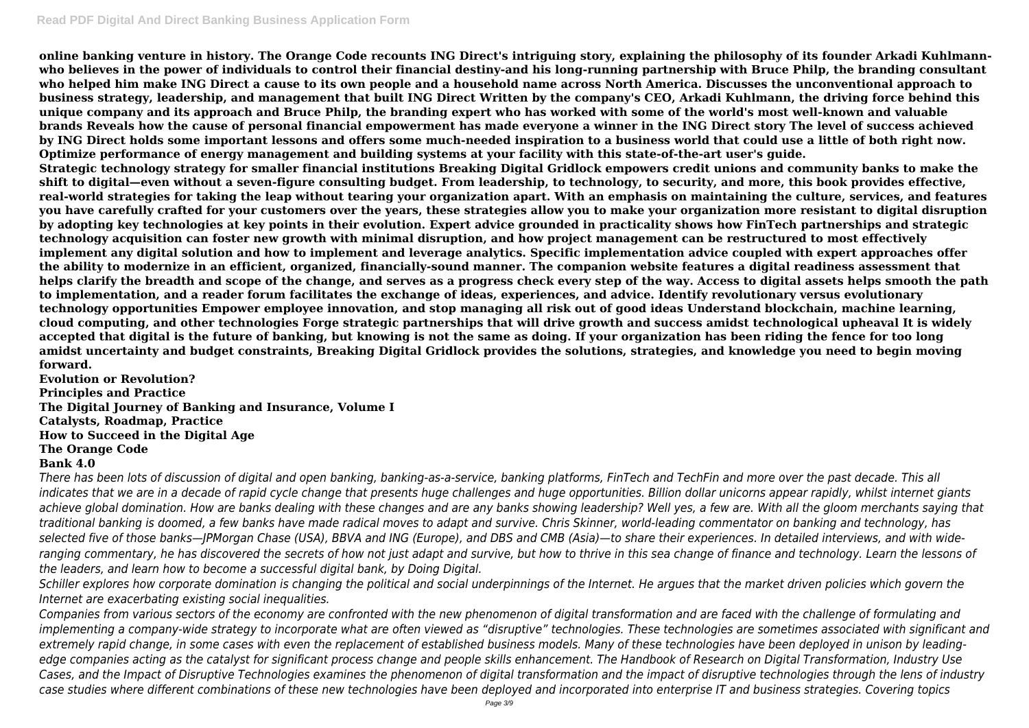**online banking venture in history. The Orange Code recounts ING Direct's intriguing story, explaining the philosophy of its founder Arkadi Kuhlmannwho believes in the power of individuals to control their financial destiny-and his long-running partnership with Bruce Philp, the branding consultant who helped him make ING Direct a cause to its own people and a household name across North America. Discusses the unconventional approach to business strategy, leadership, and management that built ING Direct Written by the company's CEO, Arkadi Kuhlmann, the driving force behind this unique company and its approach and Bruce Philp, the branding expert who has worked with some of the world's most well-known and valuable brands Reveals how the cause of personal financial empowerment has made everyone a winner in the ING Direct story The level of success achieved by ING Direct holds some important lessons and offers some much-needed inspiration to a business world that could use a little of both right now. Optimize performance of energy management and building systems at your facility with this state-of-the-art user's guide. Strategic technology strategy for smaller financial institutions Breaking Digital Gridlock empowers credit unions and community banks to make the shift to digital—even without a seven-figure consulting budget. From leadership, to technology, to security, and more, this book provides effective, real-world strategies for taking the leap without tearing your organization apart. With an emphasis on maintaining the culture, services, and features you have carefully crafted for your customers over the years, these strategies allow you to make your organization more resistant to digital disruption by adopting key technologies at key points in their evolution. Expert advice grounded in practicality shows how FinTech partnerships and strategic technology acquisition can foster new growth with minimal disruption, and how project management can be restructured to most effectively implement any digital solution and how to implement and leverage analytics. Specific implementation advice coupled with expert approaches offer the ability to modernize in an efficient, organized, financially-sound manner. The companion website features a digital readiness assessment that helps clarify the breadth and scope of the change, and serves as a progress check every step of the way. Access to digital assets helps smooth the path to implementation, and a reader forum facilitates the exchange of ideas, experiences, and advice. Identify revolutionary versus evolutionary technology opportunities Empower employee innovation, and stop managing all risk out of good ideas Understand blockchain, machine learning, cloud computing, and other technologies Forge strategic partnerships that will drive growth and success amidst technological upheaval It is widely accepted that digital is the future of banking, but knowing is not the same as doing. If your organization has been riding the fence for too long amidst uncertainty and budget constraints, Breaking Digital Gridlock provides the solutions, strategies, and knowledge you need to begin moving forward.**

**Evolution or Revolution? Principles and Practice The Digital Journey of Banking and Insurance, Volume I Catalysts, Roadmap, Practice How to Succeed in the Digital Age The Orange Code**

## **Bank 4.0**

*There has been lots of discussion of digital and open banking, banking-as-a-service, banking platforms, FinTech and TechFin and more over the past decade. This all indicates that we are in a decade of rapid cycle change that presents huge challenges and huge opportunities. Billion dollar unicorns appear rapidly, whilst internet giants* achieve global domination. How are banks dealing with these changes and are any banks showing leadership? Well yes, a few are. With all the gloom merchants saying that *traditional banking is doomed, a few banks have made radical moves to adapt and survive. Chris Skinner, world-leading commentator on banking and technology, has selected five of those banks—JPMorgan Chase (USA), BBVA and ING (Europe), and DBS and CMB (Asia)—to share their experiences. In detailed interviews, and with wideranging commentary, he has discovered the secrets of how not just adapt and survive, but how to thrive in this sea change of finance and technology. Learn the lessons of the leaders, and learn how to become a successful digital bank, by Doing Digital.*

*Schiller explores how corporate domination is changing the political and social underpinnings of the Internet. He argues that the market driven policies which govern the Internet are exacerbating existing social inequalities.*

*Companies from various sectors of the economy are confronted with the new phenomenon of digital transformation and are faced with the challenge of formulating and implementing a company-wide strategy to incorporate what are often viewed as "disruptive" technologies. These technologies are sometimes associated with significant and extremely rapid change, in some cases with even the replacement of established business models. Many of these technologies have been deployed in unison by leadingedge companies acting as the catalyst for significant process change and people skills enhancement. The Handbook of Research on Digital Transformation, Industry Use Cases, and the Impact of Disruptive Technologies examines the phenomenon of digital transformation and the impact of disruptive technologies through the lens of industry case studies where different combinations of these new technologies have been deployed and incorporated into enterprise IT and business strategies. Covering topics*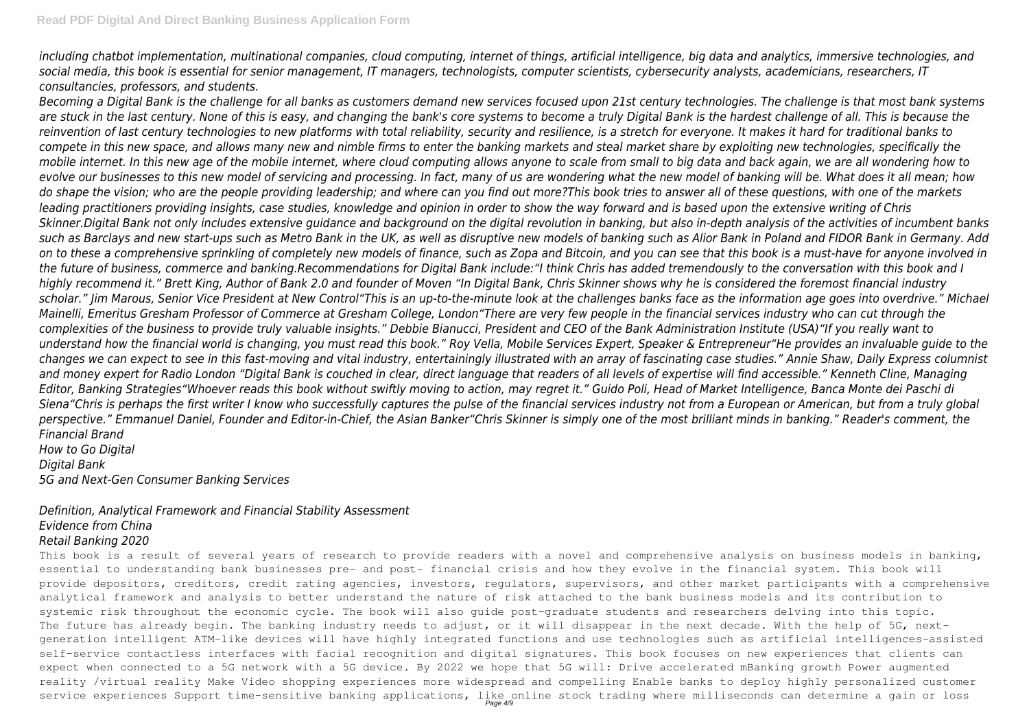*including chatbot implementation, multinational companies, cloud computing, internet of things, artificial intelligence, big data and analytics, immersive technologies, and social media, this book is essential for senior management, IT managers, technologists, computer scientists, cybersecurity analysts, academicians, researchers, IT consultancies, professors, and students.*

*Becoming a Digital Bank is the challenge for all banks as customers demand new services focused upon 21st century technologies. The challenge is that most bank systems are stuck in the last century. None of this is easy, and changing the bank's core systems to become a truly Digital Bank is the hardest challenge of all. This is because the reinvention of last century technologies to new platforms with total reliability, security and resilience, is a stretch for everyone. It makes it hard for traditional banks to compete in this new space, and allows many new and nimble firms to enter the banking markets and steal market share by exploiting new technologies, specifically the mobile internet. In this new age of the mobile internet, where cloud computing allows anyone to scale from small to big data and back again, we are all wondering how to evolve our businesses to this new model of servicing and processing. In fact, many of us are wondering what the new model of banking will be. What does it all mean; how do shape the vision; who are the people providing leadership; and where can you find out more?This book tries to answer all of these questions, with one of the markets leading practitioners providing insights, case studies, knowledge and opinion in order to show the way forward and is based upon the extensive writing of Chris Skinner.Digital Bank not only includes extensive guidance and background on the digital revolution in banking, but also in-depth analysis of the activities of incumbent banks such as Barclays and new start-ups such as Metro Bank in the UK, as well as disruptive new models of banking such as Alior Bank in Poland and FIDOR Bank in Germany. Add on to these a comprehensive sprinkling of completely new models of finance, such as Zopa and Bitcoin, and you can see that this book is a must-have for anyone involved in the future of business, commerce and banking.Recommendations for Digital Bank include:"I think Chris has added tremendously to the conversation with this book and I highly recommend it." Brett King, Author of Bank 2.0 and founder of Moven "In Digital Bank, Chris Skinner shows why he is considered the foremost financial industry scholar." Jim Marous, Senior Vice President at New Control"This is an up-to-the-minute look at the challenges banks face as the information age goes into overdrive." Michael Mainelli, Emeritus Gresham Professor of Commerce at Gresham College, London"There are very few people in the financial services industry who can cut through the complexities of the business to provide truly valuable insights." Debbie Bianucci, President and CEO of the Bank Administration Institute (USA)"If you really want to understand how the financial world is changing, you must read this book." Roy Vella, Mobile Services Expert, Speaker & Entrepreneur"He provides an invaluable guide to the changes we can expect to see in this fast-moving and vital industry, entertainingly illustrated with an array of fascinating case studies." Annie Shaw, Daily Express columnist and money expert for Radio London "Digital Bank is couched in clear, direct language that readers of all levels of expertise will find accessible." Kenneth Cline, Managing Editor, Banking Strategies"Whoever reads this book without swiftly moving to action, may regret it." Guido Poli, Head of Market Intelligence, Banca Monte dei Paschi di Siena"Chris is perhaps the first writer I know who successfully captures the pulse of the financial services industry not from a European or American, but from a truly global perspective." Emmanuel Daniel, Founder and Editor-in-Chief, the Asian Banker"Chris Skinner is simply one of the most brilliant minds in banking." Reader's comment, the Financial Brand How to Go Digital*

*Digital Bank 5G and Next-Gen Consumer Banking Services*

## *Definition, Analytical Framework and Financial Stability Assessment Evidence from China Retail Banking 2020*

This book is a result of several vears of research to provide readers with a novel and comprehensive analysis on business models in banking, essential to understanding bank businesses pre- and post- financial crisis and how they evolve in the financial system. This book will provide depositors, creditors, credit rating agencies, investors, regulators, supervisors, and other market participants with a comprehensive analytical framework and analysis to better understand the nature of risk attached to the bank business models and its contribution to systemic risk throughout the economic cycle. The book will also guide post-graduate students and researchers delving into this topic. The future has already begin. The banking industry needs to adjust, or it will disappear in the next decade. With the help of 5G, nextgeneration intelligent ATM-like devices will have highly integrated functions and use technologies such as artificial intelligences-assisted self-service contactless interfaces with facial recognition and digital signatures. This book focuses on new experiences that clients can expect when connected to a 5G network with a 5G device. By 2022 we hope that 5G will: Drive accelerated mBanking growth Power augmented reality /virtual reality Make Video shopping experiences more widespread and compelling Enable banks to deploy highly personalized customer service experiences Support time-sensitive banking applications, like online stock trading where milliseconds can determine a gain or loss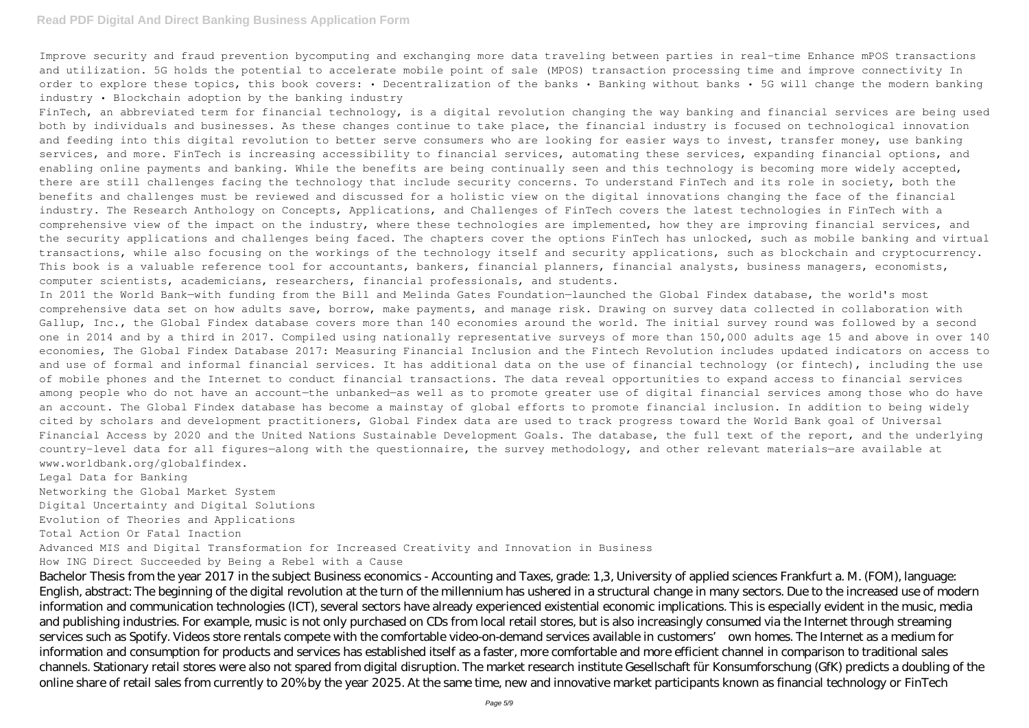### **Read PDF Digital And Direct Banking Business Application Form**

Improve security and fraud prevention bycomputing and exchanging more data traveling between parties in real-time Enhance mPOS transactions and utilization. 5G holds the potential to accelerate mobile point of sale (MPOS) transaction processing time and improve connectivity In order to explore these topics, this book covers: • Decentralization of the banks • Banking without banks • 5G will change the modern banking industry • Blockchain adoption by the banking industry

FinTech, an abbreviated term for financial technology, is a digital revolution changing the way banking and financial services are being used both by individuals and businesses. As these changes continue to take place, the financial industry is focused on technological innovation and feeding into this digital revolution to better serve consumers who are looking for easier ways to invest, transfer money, use banking services, and more. FinTech is increasing accessibility to financial services, automating these services, expanding financial options, and enabling online payments and banking. While the benefits are being continually seen and this technology is becoming more widely accepted, there are still challenges facing the technology that include security concerns. To understand FinTech and its role in society, both the benefits and challenges must be reviewed and discussed for a holistic view on the digital innovations changing the face of the financial industry. The Research Anthology on Concepts, Applications, and Challenges of FinTech covers the latest technologies in FinTech with a comprehensive view of the impact on the industry, where these technologies are implemented, how they are improving financial services, and the security applications and challenges being faced. The chapters cover the options FinTech has unlocked, such as mobile banking and virtual transactions, while also focusing on the workings of the technology itself and security applications, such as blockchain and cryptocurrency. This book is a valuable reference tool for accountants, bankers, financial planners, financial analysts, business managers, economists, computer scientists, academicians, researchers, financial professionals, and students.

In 2011 the World Bank—with funding from the Bill and Melinda Gates Foundation—launched the Global Findex database, the world's most comprehensive data set on how adults save, borrow, make payments, and manage risk. Drawing on survey data collected in collaboration with Gallup, Inc., the Global Findex database covers more than 140 economies around the world. The initial survey round was followed by a second one in 2014 and by a third in 2017. Compiled using nationally representative surveys of more than 150,000 adults age 15 and above in over 140 economies, The Global Findex Database 2017: Measuring Financial Inclusion and the Fintech Revolution includes updated indicators on access to and use of formal and informal financial services. It has additional data on the use of financial technology (or fintech), including the use of mobile phones and the Internet to conduct financial transactions. The data reveal opportunities to expand access to financial services among people who do not have an account—the unbanked—as well as to promote greater use of digital financial services among those who do have an account. The Global Findex database has become a mainstay of global efforts to promote financial inclusion. In addition to being widely cited by scholars and development practitioners, Global Findex data are used to track progress toward the World Bank goal of Universal Financial Access by 2020 and the United Nations Sustainable Development Goals. The database, the full text of the report, and the underlying country-level data for all figures—along with the questionnaire, the survey methodology, and other relevant materials—are available at www.worldbank.org/globalfindex.

Legal Data for Banking

Networking the Global Market System

Digital Uncertainty and Digital Solutions

Evolution of Theories and Applications

Total Action Or Fatal Inaction

Advanced MIS and Digital Transformation for Increased Creativity and Innovation in Business

How ING Direct Succeeded by Being a Rebel with a Cause

Bachelor Thesis from the year 2017 in the subject Business economics - Accounting and Taxes, grade: 1,3, University of applied sciences Frankfurt a. M. (FOM), language: English, abstract: The beginning of the digital revolution at the turn of the millennium has ushered in a structural change in many sectors. Due to the increased use of modern information and communication technologies (ICT), several sectors have already experienced existential economic implications. This is especially evident in the music, media and publishing industries. For example, music is not only purchased on CDs from local retail stores, but is also increasingly consumed via the Internet through streaming services such as Spotify. Videos store rentals compete with the comfortable video-on-demand services available in customers' own homes. The Internet as a medium for information and consumption for products and services has established itself as a faster, more comfortable and more efficient channel in comparison to traditional sales channels. Stationary retail stores were also not spared from digital disruption. The market research institute Gesellschaft für Konsumforschung (GfK) predicts a doubling of the online share of retail sales from currently to 20% by the year 2025. At the same time, new and innovative market participants known as financial technology or FinTech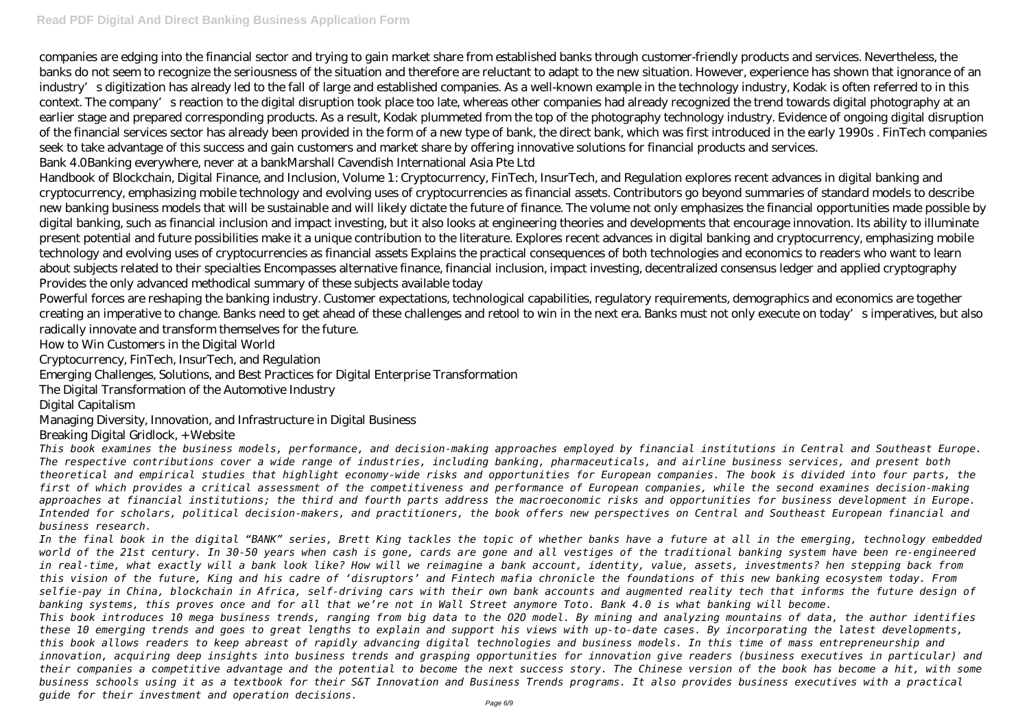companies are edging into the financial sector and trying to gain market share from established banks through customer-friendly products and services. Nevertheless, the banks do not seem to recognize the seriousness of the situation and therefore are reluctant to adapt to the new situation. However, experience has shown that ignorance of an industry's digitization has already led to the fall of large and established companies. As a well-known example in the technology industry, Kodak is often referred to in this context. The company's reaction to the digital disruption took place too late, whereas other companies had already recognized the trend towards digital photography at an earlier stage and prepared corresponding products. As a result, Kodak plummeted from the top of the photography technology industry. Evidence of ongoing digital disruption of the financial services sector has already been provided in the form of a new type of bank, the direct bank, which was first introduced in the early 1990s . FinTech companies seek to take advantage of this success and gain customers and market share by offering innovative solutions for financial products and services. Bank 4.0Banking everywhere, never at a bankMarshall Cavendish International Asia Pte Ltd

Handbook of Blockchain, Digital Finance, and Inclusion, Volume 1: Cryptocurrency, FinTech, InsurTech, and Regulation explores recent advances in digital banking and cryptocurrency, emphasizing mobile technology and evolving uses of cryptocurrencies as financial assets. Contributors go beyond summaries of standard models to describe new banking business models that will be sustainable and will likely dictate the future of finance. The volume not only emphasizes the financial opportunities made possible by digital banking, such as financial inclusion and impact investing, but it also looks at engineering theories and developments that encourage innovation. Its ability to illuminate present potential and future possibilities make it a unique contribution to the literature. Explores recent advances in digital banking and cryptocurrency, emphasizing mobile technology and evolving uses of cryptocurrencies as financial assets Explains the practical consequences of both technologies and economics to readers who want to learn about subjects related to their specialties Encompasses alternative finance, financial inclusion, impact investing, decentralized consensus ledger and applied cryptography Provides the only advanced methodical summary of these subjects available today

Powerful forces are reshaping the banking industry. Customer expectations, technological capabilities, regulatory requirements, demographics and economics are together creating an imperative to change. Banks need to get ahead of these challenges and retool to win in the next era. Banks must not only execute on today's imperatives, but also radically innovate and transform themselves for the future.

How to Win Customers in the Digital World

Cryptocurrency, FinTech, InsurTech, and Regulation

Emerging Challenges, Solutions, and Best Practices for Digital Enterprise Transformation

The Digital Transformation of the Automotive Industry

Digital Capitalism

Managing Diversity, Innovation, and Infrastructure in Digital Business

Breaking Digital Gridlock, + Website

*This book examines the business models, performance, and decision-making approaches employed by financial institutions in Central and Southeast Europe. The respective contributions cover a wide range of industries, including banking, pharmaceuticals, and airline business services, and present both theoretical and empirical studies that highlight economy-wide risks and opportunities for European companies. The book is divided into four parts, the first of which provides a critical assessment of the competitiveness and performance of European companies, while the second examines decision-making approaches at financial institutions; the third and fourth parts address the macroeconomic risks and opportunities for business development in Europe. Intended for scholars, political decision-makers, and practitioners, the book offers new perspectives on Central and Southeast European financial and business research.*

*In the final book in the digital "BANK" series, Brett King tackles the topic of whether banks have a future at all in the emerging, technology embedded world of the 21st century. In 30-50 years when cash is gone, cards are gone and all vestiges of the traditional banking system have been re-engineered in real-time, what exactly will a bank look like? How will we reimagine a bank account, identity, value, assets, investments? hen stepping back from this vision of the future, King and his cadre of 'disruptors' and Fintech mafia chronicle the foundations of this new banking ecosystem today. From selfie-pay in China, blockchain in Africa, self-driving cars with their own bank accounts and augmented reality tech that informs the future design of banking systems, this proves once and for all that we're not in Wall Street anymore Toto. Bank 4.0 is what banking will become. This book introduces 10 mega business trends, ranging from big data to the O2O model. By mining and analyzing mountains of data, the author identifies these 10 emerging trends and goes to great lengths to explain and support his views with up-to-date cases. By incorporating the latest developments, this book allows readers to keep abreast of rapidly advancing digital technologies and business models. In this time of mass entrepreneurship and innovation, acquiring deep insights into business trends and grasping opportunities for innovation give readers (business executives in particular) and their companies a competitive advantage and the potential to become the next success story. The Chinese version of the book has become a hit, with some business schools using it as a textbook for their S&T Innovation and Business Trends programs. It also provides business executives with a practical guide for their investment and operation decisions.*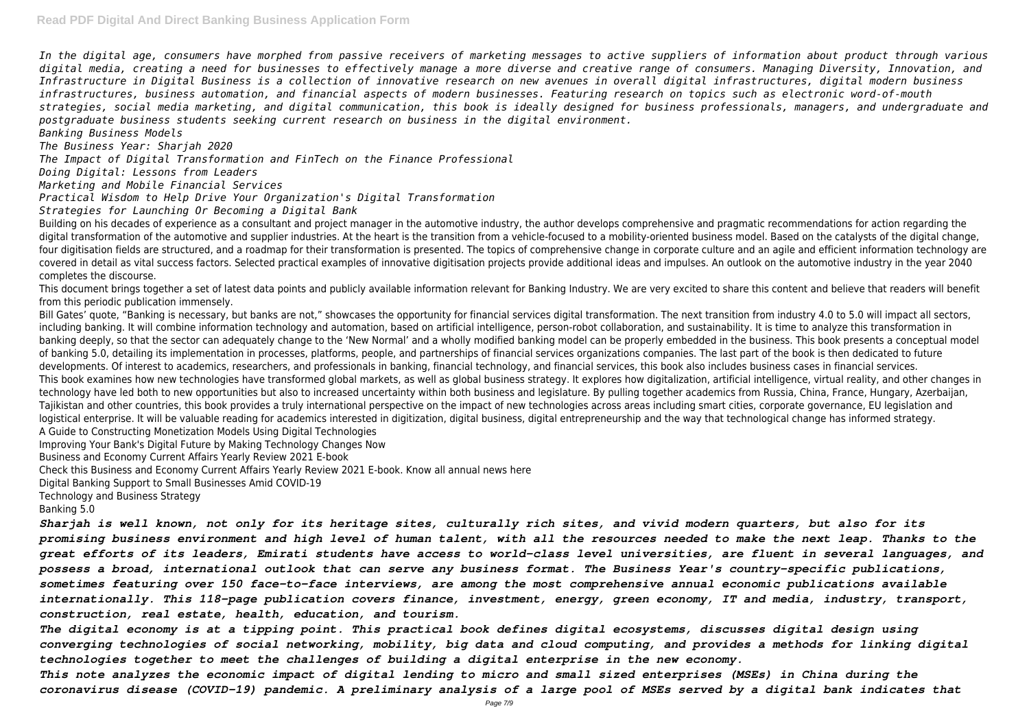*In the digital age, consumers have morphed from passive receivers of marketing messages to active suppliers of information about product through various digital media, creating a need for businesses to effectively manage a more diverse and creative range of consumers. Managing Diversity, Innovation, and Infrastructure in Digital Business is a collection of innovative research on new avenues in overall digital infrastructures, digital modern business infrastructures, business automation, and financial aspects of modern businesses. Featuring research on topics such as electronic word-of-mouth strategies, social media marketing, and digital communication, this book is ideally designed for business professionals, managers, and undergraduate and postgraduate business students seeking current research on business in the digital environment. Banking Business Models*

*The Business Year: Sharjah 2020*

*The Impact of Digital Transformation and FinTech on the Finance Professional*

Building on his decades of experience as a consultant and project manager in the automotive industry, the author develops comprehensive and pragmatic recommendations for action regarding the digital transformation of the automotive and supplier industries. At the heart is the transition from a vehicle-focused to a mobility-oriented business model. Based on the catalysts of the digital change, four digitisation fields are structured, and a roadmap for their transformation is presented. The topics of comprehensive change in corporate culture and an agile and efficient information technology are covered in detail as vital success factors. Selected practical examples of innovative digitisation projects provide additional ideas and impulses. An outlook on the automotive industry in the year 2040 completes the discourse.

*Doing Digital: Lessons from Leaders*

*Marketing and Mobile Financial Services*

*Practical Wisdom to Help Drive Your Organization's Digital Transformation*

*Strategies for Launching Or Becoming a Digital Bank*

Bill Gates' quote, "Banking is necessary, but banks are not." showcases the opportunity for financial services digital transformation. The next transition from industry 4.0 to 5.0 will impact all sectors, including banking. It will combine information technology and automation, based on artificial intelligence, person-robot collaboration, and sustainability. It is time to analyze this transformation in banking deeply, so that the sector can adequately change to the 'New Normal' and a wholly modified banking model can be properly embedded in the business. This book presents a conceptual model of banking 5.0, detailing its implementation in processes, platforms, people, and partnerships of financial services organizations companies. The last part of the book is then dedicated to future developments. Of interest to academics, researchers, and professionals in banking, financial technology, and financial services, this book also includes business cases in financial services. This book examines how new technologies have transformed global markets, as well as global business strategy. It explores how digitalization, artificial intelligence, virtual reality, and other changes in technology have led both to new opportunities but also to increased uncertainty within both business and legislature. By pulling together academics from Russia, China, France, Hungary, Azerbaijan, Tajikistan and other countries, this book provides a truly international perspective on the impact of new technologies across areas including smart cities, corporate governance, EU legislation and logistical enterprise. It will be valuable reading for academics interested in digitization, digital business, digital entrepreneurship and the way that technological change has informed strategy. A Guide to Constructing Monetization Models Using Digital Technologies

This document brings together a set of latest data points and publicly available information relevant for Banking Industry. We are very excited to share this content and believe that readers will benefit from this periodic publication immensely.

Improving Your Bank's Digital Future by Making Technology Changes Now

Business and Economy Current Affairs Yearly Review 2021 E-book

Check this Business and Economy Current Affairs Yearly Review 2021 E-book. Know all annual news here

Digital Banking Support to Small Businesses Amid COVID-19

Technology and Business Strategy

Banking 5.0

*Sharjah is well known, not only for its heritage sites, culturally rich sites, and vivid modern quarters, but also for its promising business environment and high level of human talent, with all the resources needed to make the next leap. Thanks to the great efforts of its leaders, Emirati students have access to world-class level universities, are fluent in several languages, and possess a broad, international outlook that can serve any business format. The Business Year's country-specific publications, sometimes featuring over 150 face-to-face interviews, are among the most comprehensive annual economic publications available internationally. This 118-page publication covers finance, investment, energy, green economy, IT and media, industry, transport, construction, real estate, health, education, and tourism.*

*The digital economy is at a tipping point. This practical book defines digital ecosystems, discusses digital design using converging technologies of social networking, mobility, big data and cloud computing, and provides a methods for linking digital technologies together to meet the challenges of building a digital enterprise in the new economy.*

*This note analyzes the economic impact of digital lending to micro and small sized enterprises (MSEs) in China during the coronavirus disease (COVID-19) pandemic. A preliminary analysis of a large pool of MSEs served by a digital bank indicates that*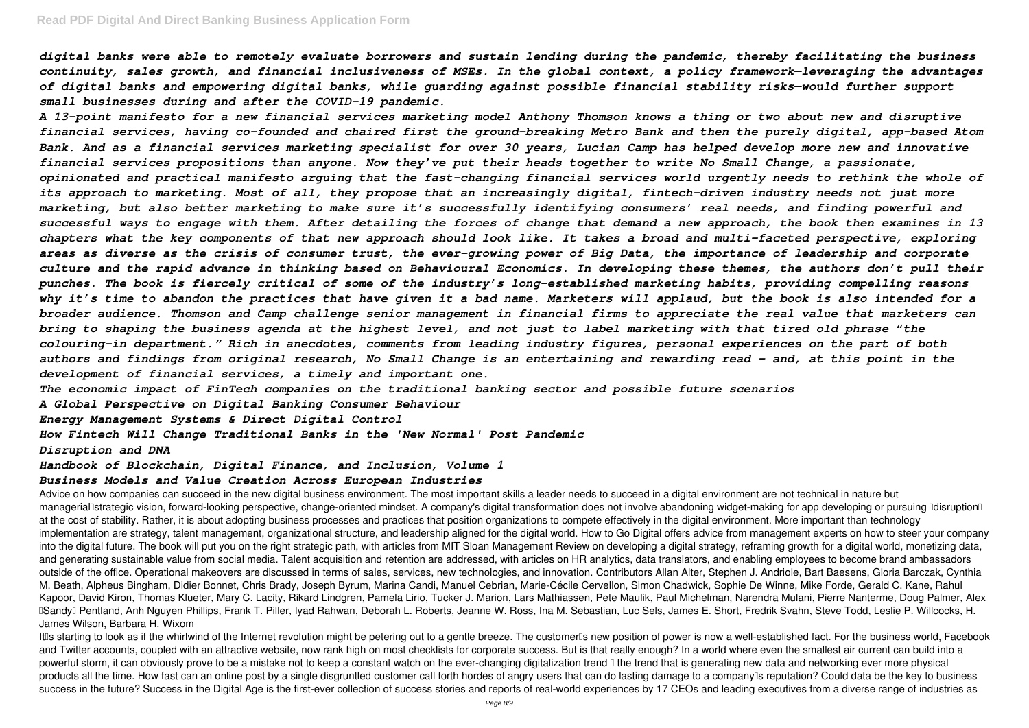### **Read PDF Digital And Direct Banking Business Application Form**

*digital banks were able to remotely evaluate borrowers and sustain lending during the pandemic, thereby facilitating the business continuity, sales growth, and financial inclusiveness of MSEs. In the global context, a policy framework—leveraging the advantages of digital banks and empowering digital banks, while guarding against possible financial stability risks—would further support small businesses during and after the COVID-19 pandemic.*

*A 13-point manifesto for a new financial services marketing model Anthony Thomson knows a thing or two about new and disruptive financial services, having co-founded and chaired first the ground-breaking Metro Bank and then the purely digital, app-based Atom Bank. And as a financial services marketing specialist for over 30 years, Lucian Camp has helped develop more new and innovative financial services propositions than anyone. Now they've put their heads together to write No Small Change, a passionate, opinionated and practical manifesto arguing that the fast-changing financial services world urgently needs to rethink the whole of its approach to marketing. Most of all, they propose that an increasingly digital, fintech-driven industry needs not just more marketing, but also better marketing to make sure it's successfully identifying consumers' real needs, and finding powerful and successful ways to engage with them. After detailing the forces of change that demand a new approach, the book then examines in 13 chapters what the key components of that new approach should look like. It takes a broad and multi-faceted perspective, exploring areas as diverse as the crisis of consumer trust, the ever-growing power of Big Data, the importance of leadership and corporate culture and the rapid advance in thinking based on Behavioural Economics. In developing these themes, the authors don't pull their punches. The book is fiercely critical of some of the industry's long-established marketing habits, providing compelling reasons why it's time to abandon the practices that have given it a bad name. Marketers will applaud, but the book is also intended for a broader audience. Thomson and Camp challenge senior management in financial firms to appreciate the real value that marketers can bring to shaping the business agenda at the highest level, and not just to label marketing with that tired old phrase "the colouring-in department." Rich in anecdotes, comments from leading industry figures, personal experiences on the part of both authors and findings from original research, No Small Change is an entertaining and rewarding read – and, at this point in the development of financial services, a timely and important one.*

Advice on how companies can succeed in the new digital business environment. The most important skills a leader needs to succeed in a digital environment are not technical in nature but manageriall strategic vision, forward-looking perspective, change-oriented mindset. A company's digital transformation does not involve abandoning widget-making for app developing or pursuing Ildisruption II at the cost of stability. Rather, it is about adopting business processes and practices that position organizations to compete effectively in the digital environment. More important than technology implementation are strategy, talent management, organizational structure, and leadership aligned for the digital world. How to Go Digital offers advice from management experts on how to steer your company into the digital future. The book will put you on the right strategic path, with articles from MIT Sloan Management Review on developing a digital strategy, reframing growth for a digital world, monetizing data, and generating sustainable value from social media. Talent acquisition and retention are addressed, with articles on HR analytics, data translators, and enabling employees to become brand ambassadors outside of the office. Operational makeovers are discussed in terms of sales, services, new technologies, and innovation. Contributors Allan Alter, Stephen J. Andriole, Bart Baesens, Gloria Barczak, Cynthia M. Beath, Alpheus Bingham, Didier Bonnet, Chris Brady, Joseph Byrum, Marina Candi, Manuel Cebrian, Marie-Cécile Cervellon, Simon Chadwick, Sophie De Winne, Mike Forde, Gerald C. Kane, Rahul Kapoor, David Kiron, Thomas Klueter, Mary C. Lacity, Rikard Lindgren, Pamela Lirio, Tucker J. Marion, Lars Mathiassen, Pete Maulik, Paul Michelman, Narendra Mulani, Pierre Nanterme, Doug Palmer, Alex DSandyD Pentland, Anh Nguyen Phillips, Frank T. Piller, Iyad Rahwan, Deborah L. Roberts, Jeanne W. Ross, Ina M. Sebastian, Luc Sels, James E. Short, Fredrik Syahn, Steve Todd, Leslie P. Willcocks, H. James Wilson, Barbara H. Wixom

It<sup>n</sup>s starting to look as if the whirlwind of the Internet revolution might be petering out to a gentle breeze. The customer<sup>n</sup>s new position of power is now a well-established fact. For the business world, Facebook and Twitter accounts, coupled with an attractive website, now rank high on most checklists for corporate success. But is that really enough? In a world where even the smallest air current can build into a powerful storm, it can obviously prove to be a mistake not to keep a constant watch on the ever-changing digitalization trend I the trend that is generating new data and networking ever more physical products all the time. How fast can an online post by a single disgruntled customer call forth hordes of angry users that can do lasting damage to a companylls reputation? Could data be the key to business success in the future? Success in the Digital Age is the first-ever collection of success stories and reports of real-world experiences by 17 CEOs and leading executives from a diverse range of industries as

*The economic impact of FinTech companies on the traditional banking sector and possible future scenarios A Global Perspective on Digital Banking Consumer Behaviour*

*Energy Management Systems & Direct Digital Control*

*How Fintech Will Change Traditional Banks in the 'New Normal' Post Pandemic*

*Disruption and DNA*

*Handbook of Blockchain, Digital Finance, and Inclusion, Volume 1*

#### *Business Models and Value Creation Across European Industries*